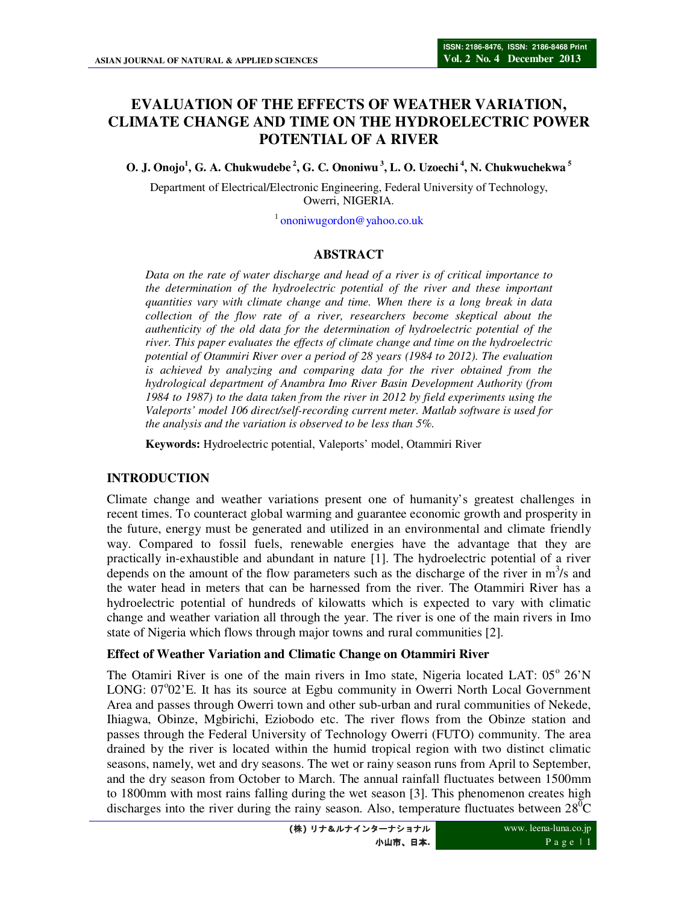# **EVALUATION OF THE EFFECTS OF WEATHER VARIATION, CLIMATE CHANGE AND TIME ON THE HYDROELECTRIC POWER POTENTIAL OF A RIVER**

**O. J. Onojo<sup>1</sup> , G. A. Chukwudebe<sup>2</sup>, G. C. Ononiwu<sup>3</sup>, L. O. Uzoechi<sup>4</sup>, N. Chukwuchekwa<sup>5</sup>**

Department of Electrical/Electronic Engineering, Federal University of Technology, Owerri, NIGERIA.

<sup>1</sup> ononiwugordon@yahoo.co.uk

#### **ABSTRACT**

*Data on the rate of water discharge and head of a river is of critical importance to the determination of the hydroelectric potential of the river and these important quantities vary with climate change and time. When there is a long break in data collection of the flow rate of a river, researchers become skeptical about the authenticity of the old data for the determination of hydroelectric potential of the river. This paper evaluates the effects of climate change and time on the hydroelectric potential of Otammiri River over a period of 28 years (1984 to 2012). The evaluation is achieved by analyzing and comparing data for the river obtained from the hydrological department of Anambra Imo River Basin Development Authority (from 1984 to 1987) to the data taken from the river in 2012 by field experiments using the Valeports' model 106 direct/self-recording current meter. Matlab software is used for the analysis and the variation is observed to be less than 5%.* 

**Keywords:** Hydroelectric potential, Valeports' model, Otammiri River

#### **INTRODUCTION**

Climate change and weather variations present one of humanity's greatest challenges in recent times. To counteract global warming and guarantee economic growth and prosperity in the future, energy must be generated and utilized in an environmental and climate friendly way. Compared to fossil fuels, renewable energies have the advantage that they are practically in-exhaustible and abundant in nature [1]. The hydroelectric potential of a river depends on the amount of the flow parameters such as the discharge of the river in  $m<sup>3</sup>/s$  and the water head in meters that can be harnessed from the river. The Otammiri River has a hydroelectric potential of hundreds of kilowatts which is expected to vary with climatic change and weather variation all through the year. The river is one of the main rivers in Imo state of Nigeria which flows through major towns and rural communities [2].

#### **Effect of Weather Variation and Climatic Change on Otammiri River**

The Otamiri River is one of the main rivers in Imo state, Nigeria located LAT: 05° 26'N LONG: 07°02'E. It has its source at Egbu community in Owerri North Local Government Area and passes through Owerri town and other sub-urban and rural communities of Nekede, Ihiagwa, Obinze, Mgbirichi, Eziobodo etc. The river flows from the Obinze station and passes through the Federal University of Technology Owerri (FUTO) community. The area drained by the river is located within the humid tropical region with two distinct climatic seasons, namely, wet and dry seasons. The wet or rainy season runs from April to September, and the dry season from October to March. The annual rainfall fluctuates between 1500mm to 1800mm with most rains falling during the wet season [3]. This phenomenon creates high discharges into the river during the rainy season. Also, temperature fluctuates between  $28^{\circ}\text{C}$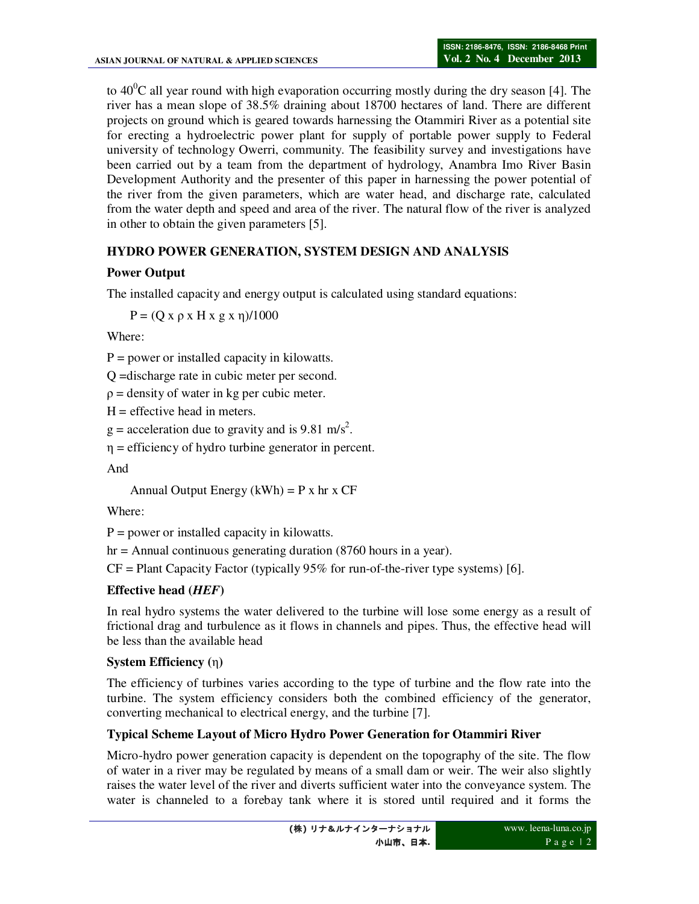to  $40^{\circ}$ C all year round with high evaporation occurring mostly during the dry season [4]. The river has a mean slope of 38.5% draining about 18700 hectares of land. There are different projects on ground which is geared towards harnessing the Otammiri River as a potential site for erecting a hydroelectric power plant for supply of portable power supply to Federal university of technology Owerri, community. The feasibility survey and investigations have been carried out by a team from the department of hydrology, Anambra Imo River Basin Development Authority and the presenter of this paper in harnessing the power potential of the river from the given parameters, which are water head, and discharge rate, calculated from the water depth and speed and area of the river. The natural flow of the river is analyzed in other to obtain the given parameters [5].

### **HYDRO POWER GENERATION, SYSTEM DESIGN AND ANALYSIS**

# **Power Output**

The installed capacity and energy output is calculated using standard equations:

 $P = (Q x ρ x H x g x η)/1000$ 

Where:

 $P = power$  or installed capacity in kilowatts.

Q =discharge rate in cubic meter per second.

 $\rho$  = density of water in kg per cubic meter.

 $H =$  effective head in meters.

 $g =$  acceleration due to gravity and is 9.81 m/s<sup>2</sup>.

 $\eta$  = efficiency of hydro turbine generator in percent.

And

Annual Output Energy  $(kWh) = P x hr x CF$ 

Where:

 $P = power$  or installed capacity in kilowatts.

hr = Annual continuous generating duration (8760 hours in a year).

 $CF = Plant Capacity Factor (typically 95% for run-of-the-river type systems) [6].$ 

### **Effective head (***HEF***)**

In real hydro systems the water delivered to the turbine will lose some energy as a result of frictional drag and turbulence as it flows in channels and pipes. Thus, the effective head will be less than the available head

### **System Efficiency (**η**)**

The efficiency of turbines varies according to the type of turbine and the flow rate into the turbine. The system efficiency considers both the combined efficiency of the generator, converting mechanical to electrical energy, and the turbine [7].

# **Typical Scheme Layout of Micro Hydro Power Generation for Otammiri River**

Micro-hydro power generation capacity is dependent on the topography of the site. The flow of water in a river may be regulated by means of a small dam or weir. The weir also slightly raises the water level of the river and diverts sufficient water into the conveyance system. The water is channeled to a forebay tank where it is stored until required and it forms the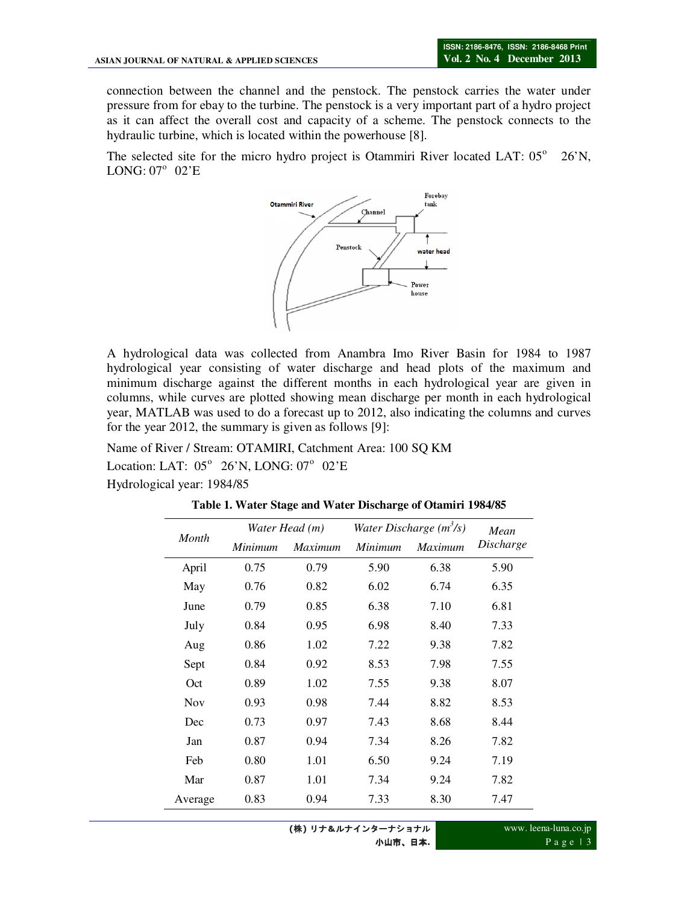connection between the channel and the penstock. The penstock carries the water under pressure from for ebay to the turbine. The penstock is a very important part of a hydro project as it can affect the overall cost and capacity of a scheme. The penstock connects to the hydraulic turbine, which is located within the powerhouse [8].

The selected site for the micro hydro project is Otammiri River located LAT: 05° 26'N, LONG:  $07^\circ$  02'E



A hydrological data was collected from Anambra Imo River Basin for 1984 to 1987 hydrological year consisting of water discharge and head plots of the maximum and minimum discharge against the different months in each hydrological year are given in columns, while curves are plotted showing mean discharge per month in each hydrological year, MATLAB was used to do a forecast up to 2012, also indicating the columns and curves for the year 2012, the summary is given as follows [9]:

Name of River / Stream: OTAMIRI, Catchment Area: 100 SQ KM Location: LAT:  $05^{\circ}$  26'N, LONG:  $07^{\circ}$  02'E

Hydrological year: 1984/85

|            |         | Water Head (m) | Water Discharge $(m^3/s)$ | Mean           |           |  |
|------------|---------|----------------|---------------------------|----------------|-----------|--|
| Month      | Minimum | <b>Maximum</b> | Minimum                   | <i>Maximum</i> | Discharge |  |
| April      | 0.75    | 0.79           | 5.90                      | 6.38           | 5.90      |  |
| May        | 0.76    | 0.82           | 6.02                      | 6.74           | 6.35      |  |
| June       | 0.79    | 0.85           | 6.38                      | 7.10           | 6.81      |  |
| July       | 0.84    | 0.95           | 6.98                      | 8.40           | 7.33      |  |
| Aug        | 0.86    | 1.02           | 7.22                      | 9.38           | 7.82      |  |
| Sept       | 0.84    | 0.92           | 8.53                      | 7.98           | 7.55      |  |
| Oct        | 0.89    | 1.02           | 7.55                      | 9.38           | 8.07      |  |
| <b>Nov</b> | 0.93    | 0.98           | 7.44                      | 8.82           | 8.53      |  |
| Dec        | 0.73    | 0.97           | 7.43                      | 8.68           | 8.44      |  |
| Jan        | 0.87    | 0.94           | 7.34                      | 8.26           | 7.82      |  |
| Feb        | 0.80    | 1.01           | 6.50                      | 9.24           | 7.19      |  |
| Mar        | 0.87    | 1.01           | 7.34                      | 9.24           | 7.82      |  |
| Average    | 0.83    | 0.94           | 7.33                      | 8.30           | 7.47      |  |

**Table 1. Water Stage and Water Discharge of Otamiri 1984/85**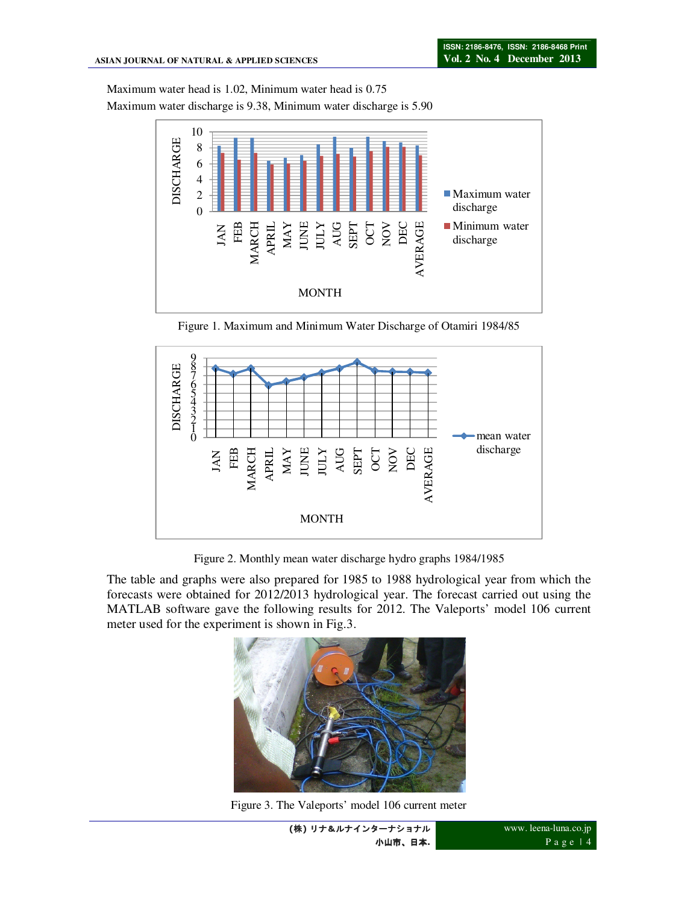Maximum water head is 1.02, Minimum water head is 0.75

Maximum water discharge is 9.38, Minimum water discharge is 5.90



Figure 1. Maximum and Minimum Water Discharge of Otamiri 1984/85



Figure 2. Monthly mean water discharge hydro graphs 1984/1985

The table and graphs were also prepared for 1985 to 1988 hydrological year from which the forecasts were obtained for 2012/2013 hydrological year. The forecast carried out using the MATLAB software gave the following results for 2012. The Valeports' model 106 current meter used for the experiment is shown in Fig.3.



Figure 3. The Valeports' model 106 current meter

**<sup>(</sup>**株**)** リナ&ルナインターナショナル 小山市、日本**.**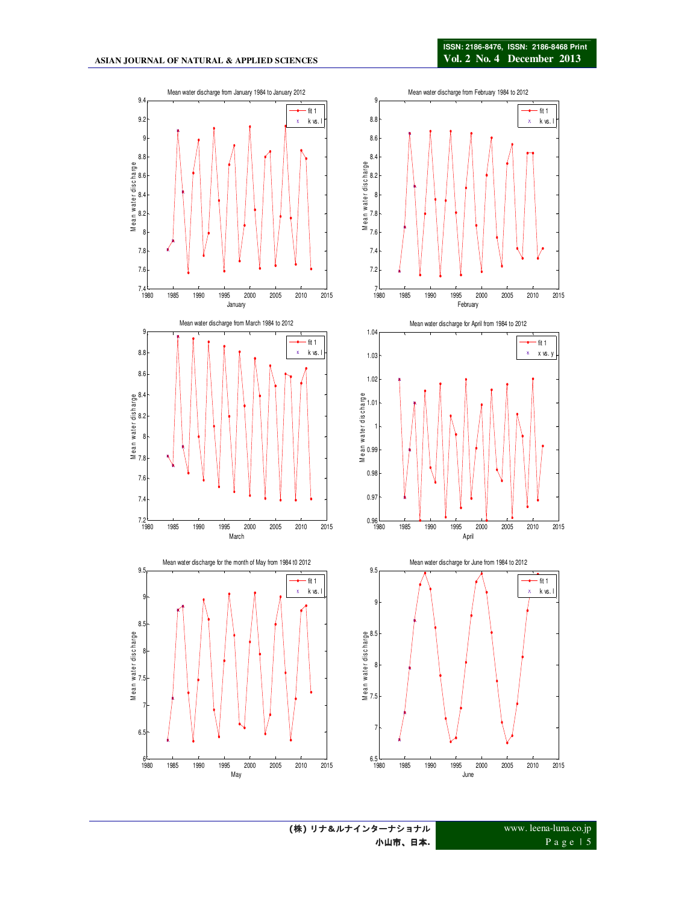

www. leena-luna.co.jp P a g e | 5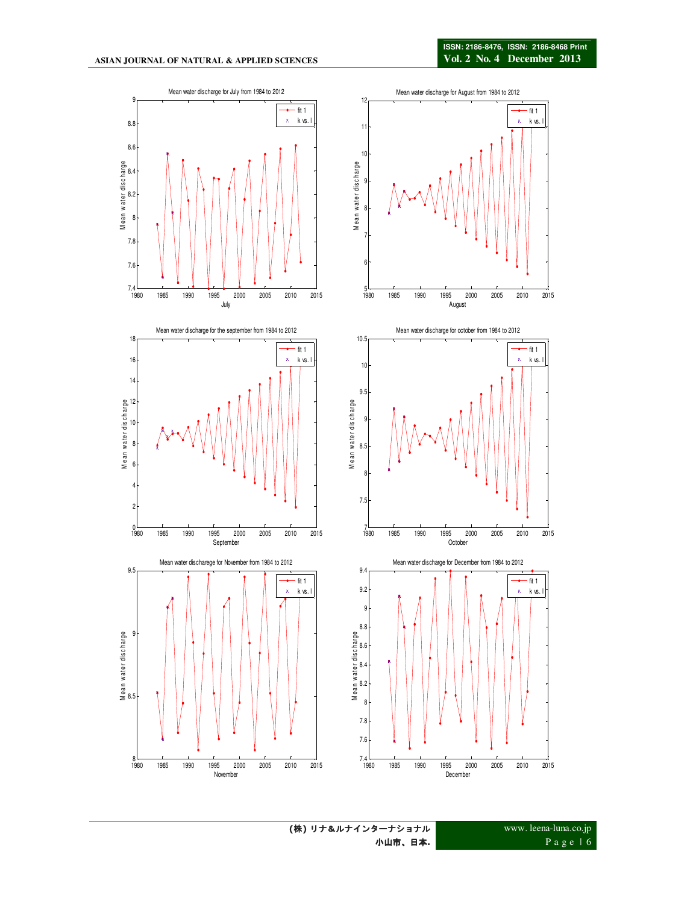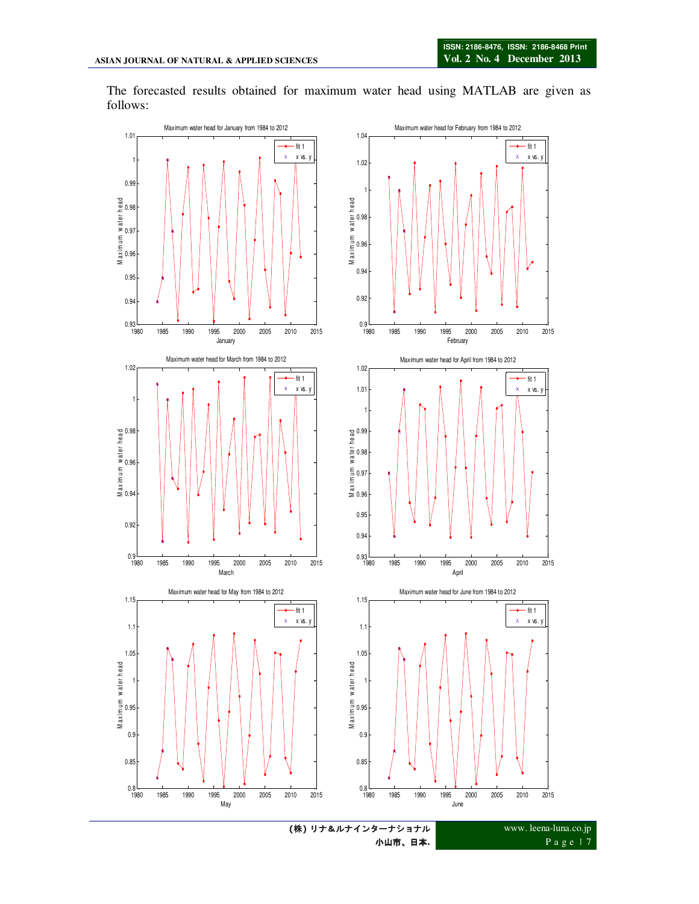The forecasted results obtained for maximum water head using MATLAB are given as follows:



小山市、日本**.**

P a g e | 7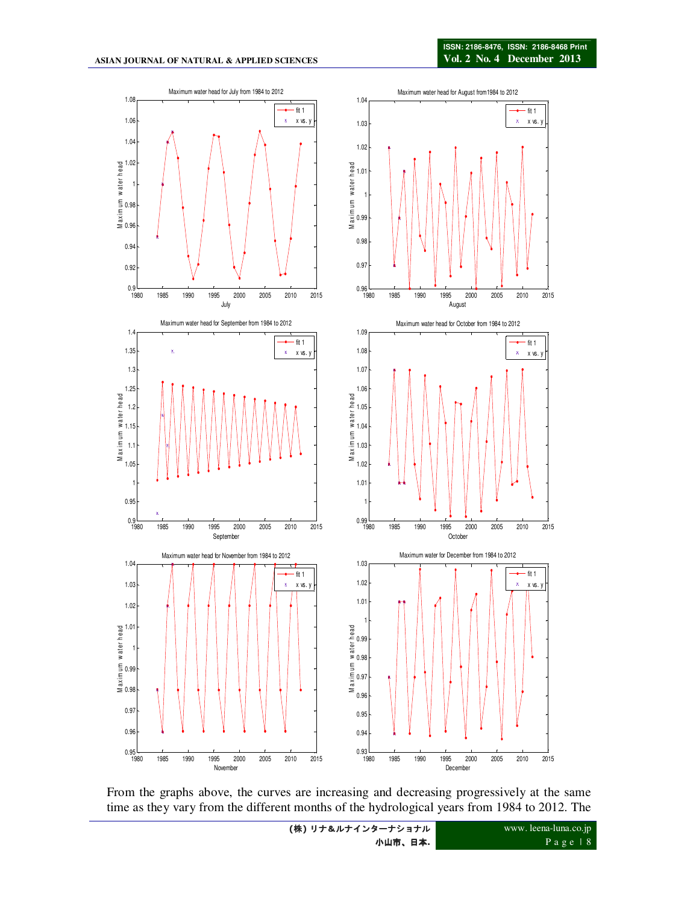

From the graphs above, the curves are increasing and decreasing progressively at the same time as they vary from the different months of the hydrological years from 1984 to 2012. The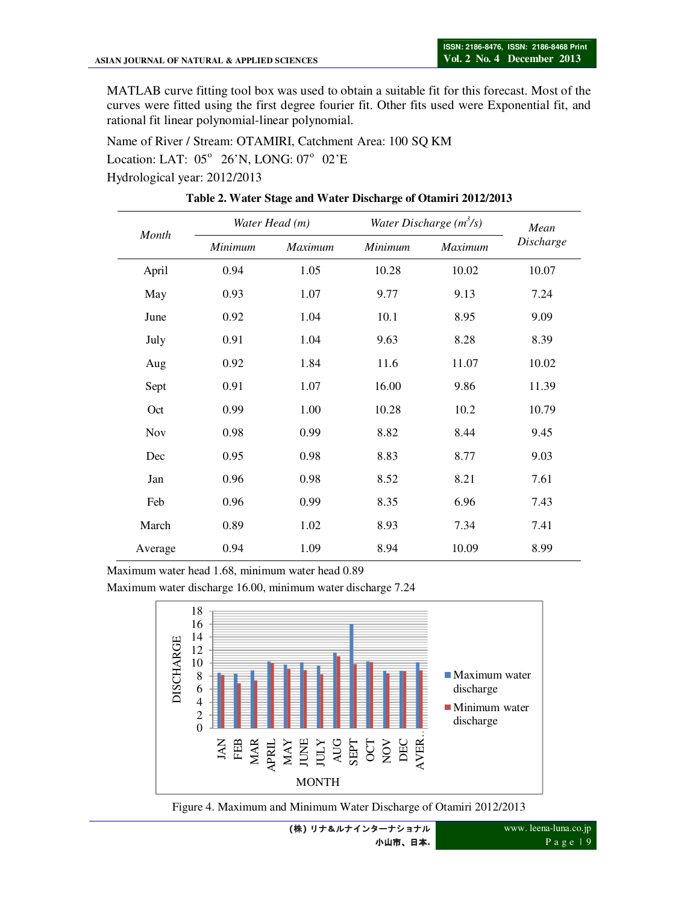MATLAB curve fitting tool box was used to obtain a suitable fit for this forecast. Most of the curves were fitted using the first degree fourier fit. Other fits used were Exponential fit, and rational fit linear polynomial-linear polynomial.

Name of River / Stream: OTAMIRI, Catchment Area: 100 SQ KM Location: LAT:  $05^{\circ}$  26'N, LONG:  $07^{\circ}$  02'E Hydrological year: 2012/2013

| Month      |         | Water Head (m) | Water Discharge $(m^3/s)$ | Mean    |           |  |
|------------|---------|----------------|---------------------------|---------|-----------|--|
|            | Minimum | Maximum        | Minimum                   | Maximum | Discharge |  |
| April      | 0.94    | 1.05           | 10.28                     | 10.02   | 10.07     |  |
| May        | 0.93    | 1.07           | 9.77                      | 9.13    | 7.24      |  |
| June       | 0.92    | 1.04           | 10.1                      | 8.95    | 9.09      |  |
| July       | 0.91    | 1.04           | 9.63                      | 8.28    | 8.39      |  |
| Aug        | 0.92    | 1.84           | 11.6                      | 11.07   | 10.02     |  |
| Sept       | 0.91    | 1.07           | 16.00                     | 9.86    | 11.39     |  |
| Oct        | 0.99    | 1.00           | 10.28                     | 10.2    | 10.79     |  |
| <b>Nov</b> | 0.98    | 0.99           | 8.82                      | 8.44    | 9.45      |  |
| Dec        | 0.95    | 0.98           | 8.83                      | 8.77    | 9.03      |  |
| Jan        | 0.96    | 0.98           | 8.52                      | 8.21    | 7.61      |  |
| Feb        | 0.96    | 0.99           | 8.35                      | 6.96    | 7.43      |  |
| March      | 0.89    | 1.02           | 8.93                      | 7.34    | 7.41      |  |
| Average    | 0.94    | 1.09           | 8.94                      | 10.09   | 8.99      |  |

**Table 2. Water Stage and Water Discharge of Otamiri 2012/2013** 

Maximum water head 1.68, minimum water head 0.89

Maximum water discharge 16.00, minimum water discharge 7.24





**(**株**)** リナ&ルナインターナショナル 小山市、日本**.**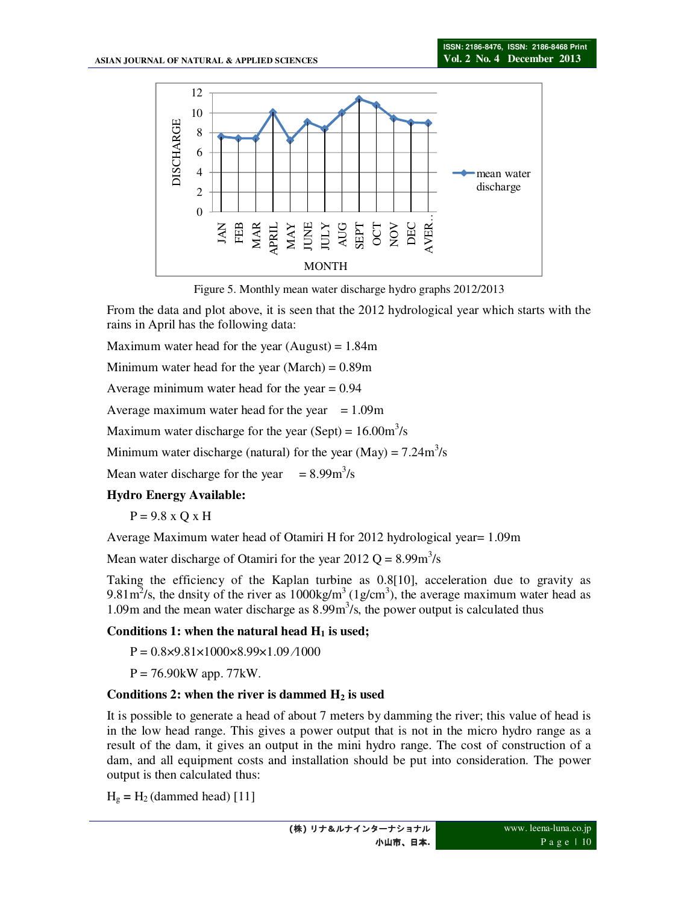

Figure 5. Monthly mean water discharge hydro graphs 2012/2013

From the data and plot above, it is seen that the 2012 hydrological year which starts with the rains in April has the following data:

Maximum water head for the year (August) =  $1.84$ m

Minimum water head for the year (March) =  $0.89$ m

Average minimum water head for the year  $= 0.94$ 

Average maximum water head for the year  $= 1.09$ m

Maximum water discharge for the year (Sept) =  $16.00 \text{m}^3/\text{s}$ 

Minimum water discharge (natural) for the year (May) =  $7.24 \text{m}^3/\text{s}$ 

Mean water discharge for the year  $= 8.99 \text{m}^3/\text{s}$ 

#### **Hydro Energy Available:**

 $P = 9.8 \times O \times H$ 

Average Maximum water head of Otamiri H for 2012 hydrological year= 1.09m

Mean water discharge of Otamiri for the year 2012  $Q = 8.99 \text{m}^3/\text{s}$ 

Taking the efficiency of the Kaplan turbine as 0.8[10], acceleration due to gravity as 9.81 $\text{m}^2$ /s, the dnsity of the river as 1000kg/m<sup>3</sup> (1g/cm<sup>3</sup>), the average maximum water head as 1.09m and the mean water discharge as  $8.99m<sup>3</sup>/s$ , the power output is calculated thus

#### Conditions 1: when the natural head  $H_1$  is used;

 $P = 0.8 \times 9.81 \times 1000 \times 8.99 \times 1.09 / 1000$ 

 $P = 76.90$  kW app. 77 kW.

#### **Conditions 2: when the river is dammed H2 is used**

It is possible to generate a head of about 7 meters by damming the river; this value of head is in the low head range. This gives a power output that is not in the micro hydro range as a result of the dam, it gives an output in the mini hydro range. The cost of construction of a dam, and all equipment costs and installation should be put into consideration. The power output is then calculated thus:

 $H<sub>g</sub> = H<sub>2</sub>$  (dammed head) [11]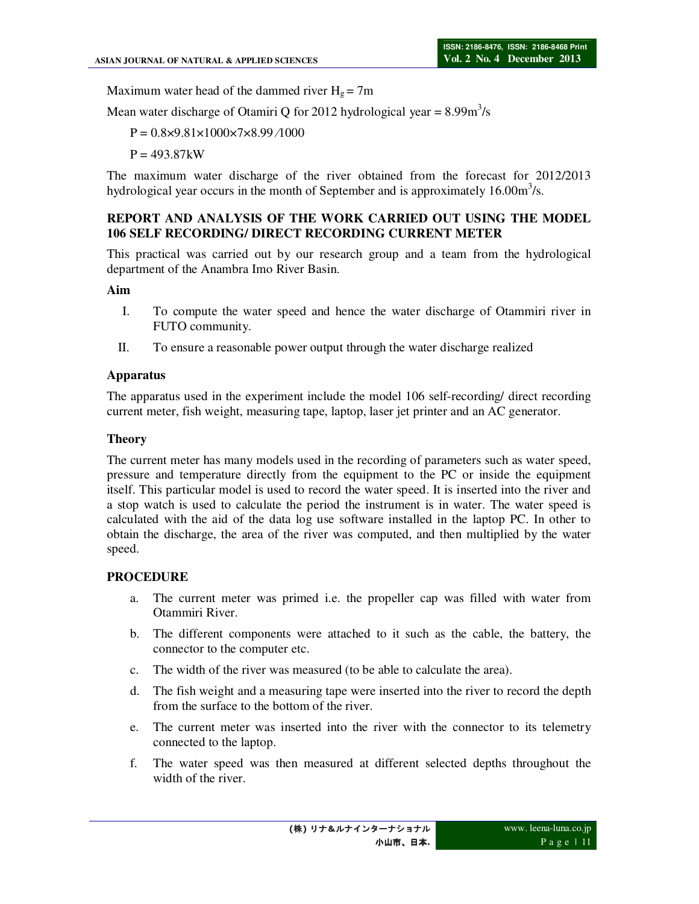Maximum water head of the dammed river  $H_g = 7m$ 

Mean water discharge of Otamiri Q for 2012 hydrological year =  $8.99 \text{m}^3/\text{s}$ 

 $P = 0.8 \times 9.81 \times 1000 \times 7 \times 8.99 / 1000$ 

 $P = 493.87kW$ 

The maximum water discharge of the river obtained from the forecast for 2012/2013 hydrological year occurs in the month of September and is approximately  $16.00 \text{m}^3/\text{s}$ .

### **REPORT AND ANALYSIS OF THE WORK CARRIED OUT USING THE MODEL 106 SELF RECORDING/ DIRECT RECORDING CURRENT METER**

This practical was carried out by our research group and a team from the hydrological department of the Anambra Imo River Basin.

#### **Aim**

- I. To compute the water speed and hence the water discharge of Otammiri river in FUTO community.
- II. To ensure a reasonable power output through the water discharge realized

#### **Apparatus**

The apparatus used in the experiment include the model 106 self-recording/ direct recording current meter, fish weight, measuring tape, laptop, laser jet printer and an AC generator.

#### **Theory**

The current meter has many models used in the recording of parameters such as water speed, pressure and temperature directly from the equipment to the PC or inside the equipment itself. This particular model is used to record the water speed. It is inserted into the river and a stop watch is used to calculate the period the instrument is in water. The water speed is calculated with the aid of the data log use software installed in the laptop PC. In other to obtain the discharge, the area of the river was computed, and then multiplied by the water speed.

#### **PROCEDURE**

- a. The current meter was primed i.e. the propeller cap was filled with water from Otammiri River.
- b. The different components were attached to it such as the cable, the battery, the connector to the computer etc.
- c. The width of the river was measured (to be able to calculate the area).
- d. The fish weight and a measuring tape were inserted into the river to record the depth from the surface to the bottom of the river.
- e. The current meter was inserted into the river with the connector to its telemetry connected to the laptop.
- f. The water speed was then measured at different selected depths throughout the width of the river.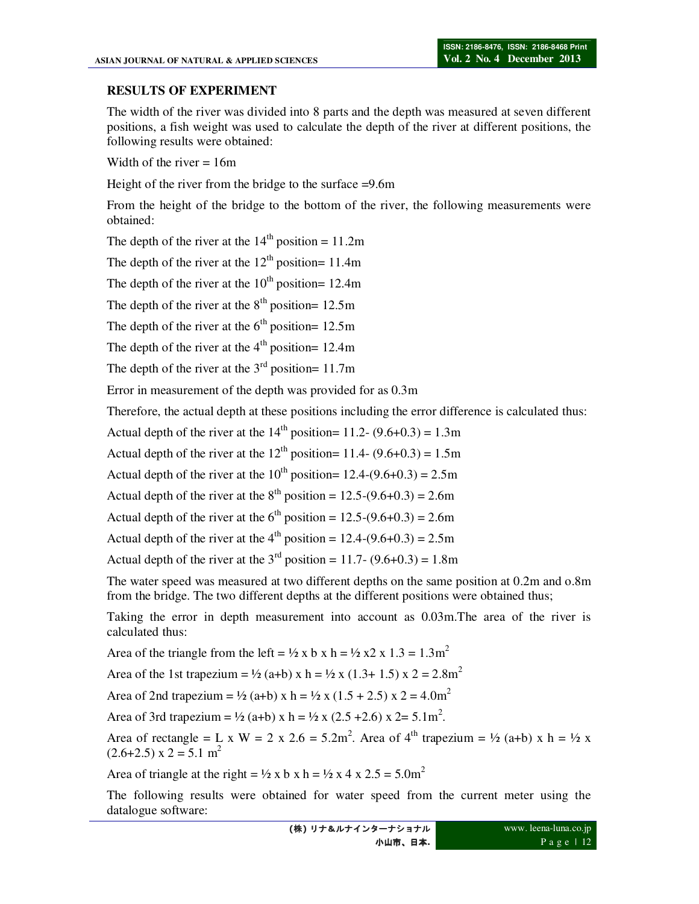### **RESULTS OF EXPERIMENT**

The width of the river was divided into 8 parts and the depth was measured at seven different positions, a fish weight was used to calculate the depth of the river at different positions, the following results were obtained:

Width of the river  $= 16m$ 

Height of the river from the bridge to the surface =9.6m

From the height of the bridge to the bottom of the river, the following measurements were obtained:

The depth of the river at the  $14<sup>th</sup>$  position = 11.2m

The depth of the river at the  $12<sup>th</sup>$  position= 11.4m

The depth of the river at the  $10^{th}$  position= 12.4m

The depth of the river at the  $8<sup>th</sup>$  position= 12.5m

The depth of the river at the  $6<sup>th</sup>$  position= 12.5m

The depth of the river at the  $4<sup>th</sup>$  position= 12.4m

The depth of the river at the  $3<sup>rd</sup>$  position= 11.7m

Error in measurement of the depth was provided for as 0.3m

Therefore, the actual depth at these positions including the error difference is calculated thus:

Actual depth of the river at the  $14<sup>th</sup>$  position= 11.2- (9.6+0.3) = 1.3m

Actual depth of the river at the  $12<sup>th</sup>$  position= 11.4- (9.6+0.3) = 1.5m

Actual depth of the river at the  $10^{th}$  position=  $12.4-(9.6+0.3) = 2.5$ m

Actual depth of the river at the  $8^{th}$  position = 12.5-(9.6+0.3) = 2.6m

Actual depth of the river at the  $6<sup>th</sup>$  position = 12.5-(9.6+0.3) = 2.6m

Actual depth of the river at the  $4<sup>th</sup>$  position = 12.4-(9.6+0.3) = 2.5m

Actual depth of the river at the  $3<sup>rd</sup>$  position = 11.7- (9.6+0.3) = 1.8m

The water speed was measured at two different depths on the same position at 0.2m and o.8m from the bridge. The two different depths at the different positions were obtained thus;

Taking the error in depth measurement into account as 0.03m.The area of the river is calculated thus:

Area of the triangle from the left =  $\frac{1}{2}$  x b x h =  $\frac{1}{2}$  x 2 x 1.3 = 1.3m<sup>2</sup>

Area of the 1st trapezium =  $\frac{1}{2}$  (a+b) x h =  $\frac{1}{2}$  x (1.3+ 1.5) x 2 = 2.8m<sup>2</sup>

Area of 2nd trapezium = ½ (a+b) x h = ½ x (1.5 + 2.5) x 2 = 4.0m<sup>2</sup>

Area of 3rd trapezium = ½ (a+b) x h = ½ x (2.5 + 2.6) x 2 = 5.1 m<sup>2</sup>.

Area of rectangle = L x W = 2 x 2.6 = 5.2m<sup>2</sup>. Area of 4<sup>th</sup> trapezium = ½ (a+b) x h = ½ x  $(2.6+2.5)$  x 2 = 5.1 m<sup>2</sup>

Area of triangle at the right =  $\frac{1}{2}$  x b x h =  $\frac{1}{2}$  x 4 x 2.5 = 5.0m<sup>2</sup>

The following results were obtained for water speed from the current meter using the datalogue software: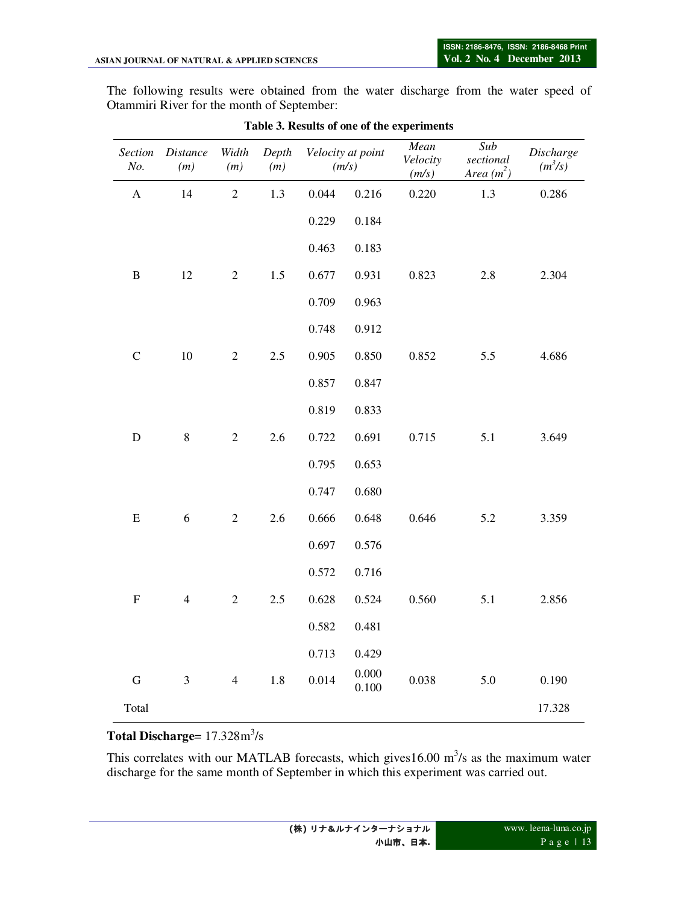The following results were obtained from the water discharge from the water speed of Otammiri River for the month of September:

| Section<br>No.            | <b>Distance</b><br>(m) | Width<br>(m)   | Depth<br>(m) |       | Velocity at point<br>(m/s) | Mean<br>Velocity<br>(m/s) | Sub<br>sectional<br>Area $(m^2)$ | Discharge<br>$(m^3/s)$ |
|---------------------------|------------------------|----------------|--------------|-------|----------------------------|---------------------------|----------------------------------|------------------------|
| $\mathbf A$               | 14                     | $\sqrt{2}$     | 1.3          | 0.044 | 0.216                      | 0.220                     | 1.3                              | 0.286                  |
|                           |                        |                |              | 0.229 | 0.184                      |                           |                                  |                        |
|                           |                        |                |              | 0.463 | 0.183                      |                           |                                  |                        |
| $\, {\bf B}$              | 12                     | $\mathbf{2}$   | $1.5\,$      | 0.677 | 0.931                      | 0.823                     | 2.8                              | 2.304                  |
|                           |                        |                |              | 0.709 | 0.963                      |                           |                                  |                        |
|                           |                        |                |              | 0.748 | 0.912                      |                           |                                  |                        |
| $\mathsf{C}$              | $10\,$                 | $\mathbf{2}$   | 2.5          | 0.905 | 0.850                      | 0.852                     | 5.5                              | 4.686                  |
|                           |                        |                |              | 0.857 | 0.847                      |                           |                                  |                        |
|                           |                        |                |              | 0.819 | 0.833                      |                           |                                  |                        |
| $\mathbf D$               | $\,$ $\,$              | $\overline{c}$ | 2.6          | 0.722 | 0.691                      | 0.715                     | 5.1                              | 3.649                  |
|                           |                        |                |              | 0.795 | 0.653                      |                           |                                  |                        |
|                           |                        |                |              | 0.747 | 0.680                      |                           |                                  |                        |
| ${\bf E}$                 | 6                      | $\mathbf{2}$   | 2.6          | 0.666 | 0.648                      | 0.646                     | 5.2                              | 3.359                  |
|                           |                        |                |              | 0.697 | 0.576                      |                           |                                  |                        |
|                           |                        |                |              | 0.572 | 0.716                      |                           |                                  |                        |
| $\boldsymbol{\mathrm{F}}$ | $\overline{4}$         | $\overline{c}$ | 2.5          | 0.628 | 0.524                      | 0.560                     | 5.1                              | 2.856                  |
|                           |                        |                |              | 0.582 | 0.481                      |                           |                                  |                        |
|                           |                        |                |              | 0.713 | 0.429                      |                           |                                  |                        |
| $\mathbf G$               | $\mathfrak{Z}$         | $\overline{4}$ | 1.8          | 0.014 | 0.000<br>0.100             | 0.038                     | 5.0                              | 0.190                  |
| Total                     |                        |                |              |       |                            |                           |                                  | 17.328                 |

|  |  |  |  | Table 3. Results of one of the experiments |
|--|--|--|--|--------------------------------------------|
|--|--|--|--|--------------------------------------------|

# **Total Discharge=** 17.328m<sup>3</sup>/s

This correlates with our MATLAB forecasts, which gives  $16.00 \text{ m}^3$ /s as the maximum water discharge for the same month of September in which this experiment was carried out.